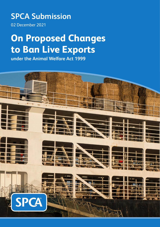### **SPCA Submission**

02 December 2021

# **On Proposed Changes to Ban Live Exports**

**under the Animal Welfare Act 1999**

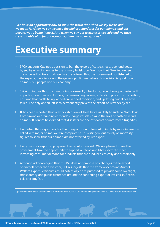<span id="page-1-0"></span>*"We have an opportunity now to show the world that when we say we're kind, we mean it. When we say we have the highest standards for our animals and our people, we're being honest. And when we say our workplaces are safe and we have a sustainable plan for our economy, there are no exceptions."\**

### **Executive summary**

- > SPCA supports Cabinet's decision to ban the export of cattle, sheep, deer and goats by sea by way of changes to the primary legislation. We know that New Zealanders are appalled by live exports and we are relieved that the government has listened to the experts, the science and the general public. We believe this decision is good for our animals, our people and our economy.
- > SPCA maintains that 'continuous improvement', introducing regulations, partnering with importing countries and farmers, commissioning reviews, extending post-arrival reporting, ensuring that cattle being loaded are in good condition, and updating guidelines have failed. The only option left is to permanently prevent the export of livestock by sea.
- > It has been reported that livestock ships are at least twice as likely to suffer a "total loss" from sinking or grounding as standard cargo vessels - risking the lives of both crew and animals. It cannot be claimed that disasters are one-off events or unforeseen tragedies.
- > Even when things go smoothly, the transportation of farmed animals by sea is inherently linked with major animal welfare compromise. It is disingenuous to rely on mortality figures to show that our animals are not affected by live export.
- > Every livestock export ship represents a reputational risk. We are pleased to see the government take the opportunity to support our food and fibres sector to meet increasing consumer demand for products that are produced ethically and sustainably.
- > Although acknowledging that this Bill does not propose any changes to the export of animals other than livestock, SPCA suggests that the framework around Animal Welfare Export Certificates could potentially be re-purposed to provide some oversight, transparency and public assurance around the continuing export of live chicks, finfish, eels and crayfish.

\*Open letter on live export to Prime Minister Jacinda Ardern by SPCA CEO Andrea Midgen and SAFE CEO Debra Ashton, September 2020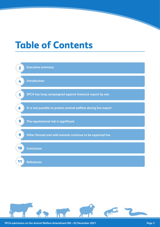# **Table of Contents**



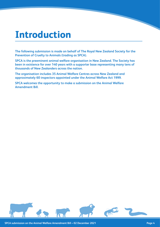### <span id="page-3-0"></span>**Introduction**

**The following submission is made on behalf of The Royal New Zealand Society for the Prevention of Cruelty to Animals (trading as SPCA).**

**SPCA is the preeminent animal welfare organisation in New Zealand. The Society has been in existence for over 140 years with a supporter base representing many tens of thousands of New Zealanders across the nation.**

**The organisation includes 35 Animal Welfare Centres across New Zealand and approximately 60 inspectors appointed under the Animal Welfare Act 1999.**

**SPCA welcomes the opportunity to make a submission on the Animal Welfare Amendment Bill.**

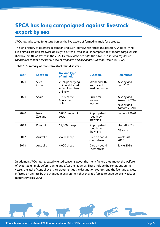### <span id="page-4-0"></span>**SPCA has long campaigned against livestock export by sea**

SPCA has advocated for a total ban on the live export of farmed animals for decades.

The long history of disasters accompanying such journeys reinforced this position. Ships carrying live animals are at least twice as likely to suffer a 'total loss' as compared to standard cargo vessels (Kevany, 2020). As stated in the 2020 Heron review: *"we note the obvious: rules and regulations themselves cannot necessarily prevent tragedies and accidents." (Michael Heron QC, 2020)*

| Year | <b>Location</b>       | <b>No. and type</b><br>of animals                                 | <b>Outcome</b>                                  | <b>References</b>          |
|------|-----------------------|-------------------------------------------------------------------|-------------------------------------------------|----------------------------|
| 2021 | Suez<br>Canal         | 20 ships carrying<br>animals blocked<br>Animal numbers<br>unknown | Stranded with<br>insufficient<br>feed and water | Kevany and<br>Safi 2021    |
| 2021 | Spain                 | 1,700 cattle<br>864 young<br>bulls                                | Culled for<br>welfare<br>reasons                | Kevany and<br>Kassam 2021a |
|      |                       |                                                                   |                                                 | Kevany and<br>Kassam 2021b |
| 2020 | <b>New</b><br>Zealand | 6,000 pregnant<br>COWS                                            | Ship capsized<br>- death by<br>drowning         | Ives et al 2020            |
| 2019 | Romania               | 14,000 sheep                                                      | Ship capsized<br>- death by<br>drowning         | Skerrett 2019              |
|      |                       |                                                                   |                                                 | Ng 2019                    |
| 2017 | Australia             | 2,400 sheep                                                       | Died on board<br>- heat stress                  | Wahlquist<br>2018          |
| 2014 | Australia             | 4,000 sheep                                                       | Died on board<br>- heat stress                  | Towie 2014                 |

#### **Table 1: Summary of recent livestock ship disasters**

In addition, SPCA has repeatedly raised concerns about the many factors that impact the welfare of exported animals before, during and after their journey. These include the conditions on the vessel, the lack of control over their treatment at the destination country, and the fear and anxiety inflicted on animals by the changes in environment that they are forced to undergo over weeks or months (Phillips, 2008).

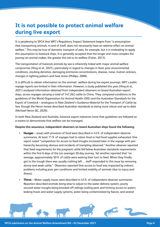### <span id="page-5-0"></span>**It is not possible to protect animal welfare during live export**

It is perplexing to SPCA that MPI's Regulatory Impact Statement begins from "a presumption that transporting animals, in and of itself, does not necessarily have an adverse effect on animal welfare." This may be true of domestic transport of pets, for example, but it is misleading to apply this assumption to livestock ships. It is generally accepted that the longer and more complex the journey an animal makes, the greater the risk to its welfare (Fisher, 2013).

The transportation of livestock animals by sea is inherently linked with major animal welfare compromise (Hing et al., 2021), particularly in regard to changes in feed, poor environmental conditions, stocking densities, damaging ammonia concentrations, disease, noise, motion sickness, changes in lighting pattern and heat stress (Phillips, 2008).

It is difficult to obtain information on the animals' welfare during live export journeys. MPI's public voyage reports are limited in their information. However, a study published this year (Hing et al., 2021) analysed information obtained from independent observers on board Australian export ships, across voyages carrying a total of 147,262 cattle to China. They compared conditions to the guidelines of the World Organisation for Animal Health (OIE) and the Australian Standards for the Export of Livestock – analogous to New Zealand's Guidance Material for the Transport of Cattle by Sea, though the Heron review described Australian standards as being more robust and up-to-date (Michael Heron QC, 2020).

In both New Zealand and Australia, livestock export industries insist that guidelines are followed as a means to demonstrate that welfare can be managed.

#### **Despite this assurance, independent observers on board Australian ships found the following:**

- > **Hunger** issues with provision of food were described in 43% of independent observer summaries. At least 11% of voyages had to ration food or had food supplies exhausted. One report noted "competition for access to feed troughs increased later in the voyage with pen hierarchy becoming obvious and incidents of trampling observed." Another observer reported that feed requirements for the pregnant cattle fell below Australian standards requirements within the first 6 days of the (on average) 20-day journey. Yet another reported that "on average, approximately 50% of cattle were waiting their turn to feed. When they finally got to the trough there was usually nothing left… staff responded to this issue by removing skinny and weak cattle." Observers reported that access to food was impacted by indirect problems including poor pen conditions and limited mobility of animals (due to injury and illness).
- **Thirst** Water supply issues were described in 43% of independent observer summaries. Reporters described animals being slow to adjust to the water delivery system, poorly secured water troughs being knocked off railings (soiling pens and limiting access to water), leaking hoses and water supply systems, water being contaminated by faeces, and several

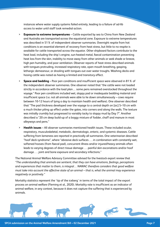instances where water supply systems failed entirely, leading to a failure of ad-lib access to water until staff took remedial action.

- > **Exposure to extreme temperatures** Cattle exported by sea to China from New Zealand and Australia are transported across the equatorial zone. Exposure to extreme temperatures was described in 51% of independent observer summaries. Overnight respite from hot conditions is an essential element of recovery from heat stress, but little to no respite is available for cattle transported across the equator. Other shipboard factors contribute to the heat load, including the ship's engine, sun-heated metal, faecal contamination preventing heat loss from the skin, inability to move away from other animals or seek shade or breeze, high pen humidity, and poor ventilation. Observer reports of heat stress described animals with tongues protruding, increased respiratory rate, open mouth breathing, gasping, lethargic demeanour, or drooling with tongues out over water troughs. Washing decks and hosing cattle was noted as having a limited and transitory effect.
- > **Space and bedding** Poor pen conditions and insufficient space were observed in 81% of the independent observer summaries. One observer noted that "the cattle were not loaded strictly in accordance with the load plan… some pens remained overstocked throughout the voyage." Poor pen conditions included wet, sloppy pad or inadequate bedding material and insufficient space (i.e. not all animals were able to lie down simultaneously – cows require between 10-12 hours of lying a day to maintain health and welfare). One observer described that "The pad thickness developed over the voyage to a central depth on [sic] 5–10 cm with a much thicker piling up effect under the gates, into corners and along the walls. The texture was initially crumbly but progressed to variably tacky to sloppy mud by Day 7". Another described a "20 cm deep build-up of a boggy mixture of fodder, chaff and manure in most alleyways and pens."
- > **Health issues** All observer summaries mentioned health issues. These included ocular, respiratory, musculoskeletal, metabolic, dermatologic, enteric, and systemic diseases. Cattle suffering from lameness are reported in practically all summaries. One veterinarian described "hoof deck syndrome", where "abrasive deck surfaces . . . in combination with constantly wet, softened hooves (from faecal pad), concurrent illness and/or injured/heavy animals often leads to varying degrees of direct tissue damage . . . painful skin excoriations and/or hoof damage . . . joint and bone exposure and secondary infections."

The National Animal Welfare Advisory Committee advised for the livestock export review that *"The understanding that animals are sentient, that they can have emotions, feelings, perceptions and experiences that matter to them, is integral… NAWAC therefore considers that good welfare must take into account the affective state of an animal – that is, what the animal may experience negatively or positively."* 

Mortality statistics represent the 'tip of the iceberg' in terms of the total impact of the export process on animal welfare (Fleming et al., 2020). Mortality rate is insufficient as an indicator of animal welfare, in any context, because it does not capture the suffering that is experienced by animals.

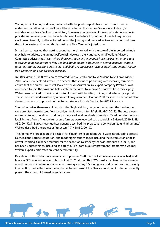Visiting a ship loading and being satisfied with the pre-transport check is also insufficient to understand whether animal welfare will be affected on the journey. SPCA shares industry's confidence that New Zealand's regulatory framework and system of pre-export veterinary checks provides some assurance that the animals being loaded are in good condition. But regulations would need to apply and be enforced during the journey and post-arrival to even begin to address the animal welfare risk – and this is outside of New Zealand's jurisdiction.

It has been suggested that getting countries more involved with the care of the imported animals may help to address the animal welfare risk. However, the National Animal Welfare Advisory Committee advises that *"even where those in charge of the animals have the best intentions and receive ongoing support from New Zealand, fundamental differences in animal genetics, climate, farming systems, disease, parasite risk, and feed, will predispose towards significant animal welfare risks when sending our livestock overseas."*

In 2019, around 5,000 cattle were exported from Australia and New Zealand to Sri Lanka (about 2,000 were New Zealand's cows), in a scheme that included partnering with receiving farmers to ensure that the animals were well looked after. An Australian live export company (Wellard) was contracted to ship the cows and help establish the farms to improve Sri Lanka's fresh milk supply. Wellard was required to provide Sri Lankan farmers with facilities, training and veterinary support. The scheme was underwritten by an Australian government loan of \$100 million. The export of New Zealand cattle was approved via the Animal Welfare Exports Certificate (AWEC) process.

Soon after arrival there were claims that the "high-yielding, pregnant dairy cows" the local farmers were promised were instead "overpriced, unhealthy and infertile" (RNZ/ABC, 2019). The cattle were not suited to local conditions, did not produce well, and hundreds of cattle suffered and died, leaving local farmers facing financial ruin: some farmers were reported to be suicidal (NZ Herald, 2019; RNZ/ ABC, 2019). Sri Lanka's own auditor-general described the project as "poorly planned and inhumane." Wellard described the project as "a success." (RNZ/ABC, 2019).

The Animal Welfare (Export of Livestock for Slaughter) Regulations 2016 were introduced to protect New Zealand's trade reputation, and made significant changes including the introduction of postarrival reporting. Guidance material for the export of livestock by sea was introduced in 2013, and has been updated since, including as part of MPI's 'continuous improvement' programme. Animal Welfare Export Certificates are considered carefully.

Despite all of this, public concern reached a point in 2020 that the Heron review was launched, and Minister O'Connor announced a ban in April 2021, stating that "We must stay ahead of the curve in a world where animal welfare is under increasing scrutiny." SPCA agrees, and maintains that the only intervention that will address the fundamental concerns of the New Zealand public is to permanently prevent the export of farmed animals by sea.

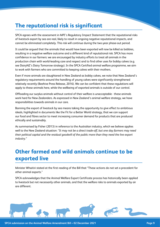#### <span id="page-8-0"></span>**The reputational risk is significant**

SPCA agrees with the assessment in MPI's Regulatory Impact Statement that the reputational risks of livestock export by sea are real, likely to result in ongoing negative reputational impacts, and cannot be eliminated completely. This risk will continue during the two-year phase-out period.

It could be argued that the animals that would have been exported will now be killed as bobbies, resulting in a negative welfare outcome and a different kind of reputational risk. SPCA has more confidence in our farmers: we are encouraged by industry efforts to treat all animals in the production chain with world-leading care and respect and to find other uses for bobby calves (e.g. see DairyNZ's Dairy Tomorrow strategy). In the SPCA Certified animal welfare programme, we aim to work with farmers who are committed to keeping calves with their mothers.

Even if more animals are slaughtered in New Zealand as bobby calves, we note that New Zealand's regulatory requirements around the handling of young calves were significantly strengthened relatively recently (Beehive Press Release, 2016). We can be confident that these regulations will apply to these animals here, while the wellbeing of exported animals is outside of our control.

Offloading our surplus animals without control of their welfare is unacceptable - these animals work hard for New Zealanders. As expressed in New Zealand's animal welfare strategy, we have responsibilities towards animals in our care.

Banning the export of livestock by sea means taking the opportunity to give effect to ambitious ideals, highlighted in documents like the Fit for a Better World strategy, that we can support our food and fibres sector to meet increasing consumer demand for products that are produced ethically and sustainably.

As summarised by Fisher (2013) in reference to the Australian industry, which we believe applies well to the New Zealand situation: *"It may not be a direct trade-off, but one day farmers may need their political capital and the residual goodwill of the public more than they need the live export industry."* 

#### **Other farmed and wild animals continue to be exported live**

Minister Whaitiri stated at the first reading of the Bill that "These actions do not set a precedent for other animal exports."

SPCA acknowledges that the Animal Welfare Export Certificate process has historically been applied to livestock but not necessarily other animals, and that the welfare risks to animals exported by air are different.

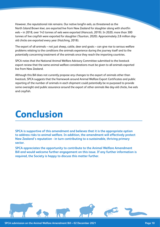<span id="page-9-0"></span>However, the reputational risk remains. Our native longfin eels, as threatened as the North Island Brown kiwi, are exported live from New Zealand for slaughter along with shortfin eels – in 2018, over 143 tonnes of eels were exported (Hancock, 2019). In 2020, more than 300 tonnes of live crayfish were exported for slaughter (Taunton, 2020). Approximately 2.8 million dayold chicks are exported every year (Hutching, 2018).

The export of all animals – not just sheep, cattle, deer and goats – can give rise to serious welfare problems relating to the conditions the animals experience during the journey itself and to the potentially concerning treatment of the animals once they reach the importing countries.

SPCA notes that the National Animal Welfare Advisory Committee submitted to the livestock export review that the same animal welfare considerations must be given to all animals exported live from New Zealand.

Although this Bill does not currently propose any changes to the export of animals other than livestock, SPCA suggests that the framework around Animal Welfare Export Certificates and public reporting of the number of animals in each shipment could potentially be re-purposed to provide some oversight and public assurance around the export of other animals like day-old chicks, live eels and crayfish.

## **Conclusion**

**SPCA is supportive of this amendment and believes that it is the appropriate option to address risks to animal welfare. In addition, the amendment will effectively protect New Zealand's reputation - in turn contributing to a sustainable, thriving primary sector.**

**SPCA appreciates the opportunity to contribute to the Animal Welfare Amendment Bill and would welcome further engagement on this issue. If any further information is required, the Society is happy to discuss this matter further.**